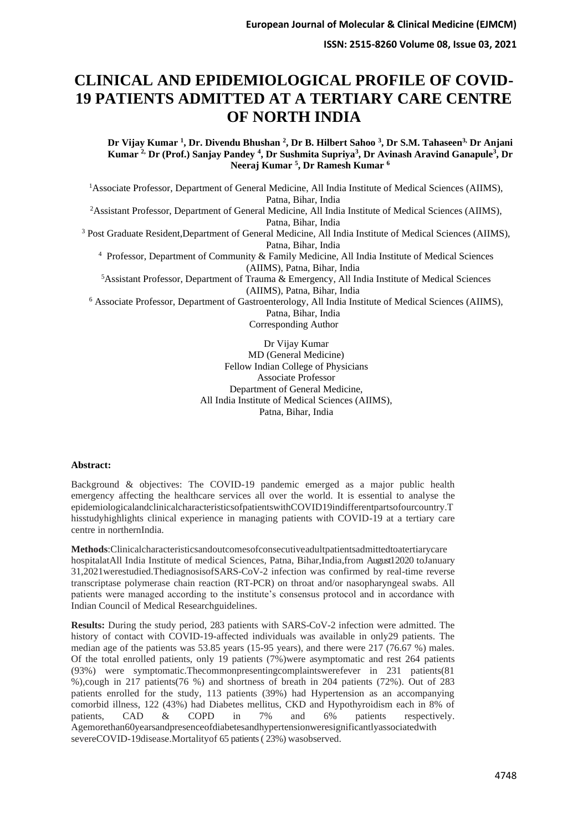# **CLINICAL AND EPIDEMIOLOGICAL PROFILE OF COVID-19 PATIENTS ADMITTED AT A TERTIARY CARE CENTRE OF NORTH INDIA**

**Dr Vijay Kumar <sup>1</sup> , Dr. Divendu Bhushan <sup>2</sup> , Dr B. Hilbert Sahoo <sup>3</sup> , Dr S.M. Tahaseen3, Dr Anjani Kumar 2, Dr (Prof.) Sanjay Pandey <sup>4</sup> , Dr Sushmita Supriya<sup>3</sup> , Dr Avinash Aravind Ganapule<sup>3</sup> , Dr Neeraj Kumar <sup>5</sup> , Dr Ramesh Kumar <sup>6</sup>**

<sup>1</sup>Associate Professor, Department of General Medicine, All India Institute of Medical Sciences (AIIMS), Patna, Bihar, India

<sup>2</sup>Assistant Professor, Department of General Medicine, All India Institute of Medical Sciences (AIIMS), Patna, Bihar, India

<sup>3</sup> Post Graduate Resident,Department of General Medicine, All India Institute of Medical Sciences (AIIMS), Patna, Bihar, India

<sup>4</sup> Professor, Department of Community & Family Medicine, All India Institute of Medical Sciences (AIIMS), Patna, Bihar, India

<sup>5</sup>Assistant Professor, Department of Trauma & Emergency, All India Institute of Medical Sciences (AIIMS), Patna, Bihar, India

<sup>6</sup> Associate Professor, Department of Gastroenterology, All India Institute of Medical Sciences (AIIMS), Patna, Bihar, India

Corresponding Author

Dr Vijay Kumar MD (General Medicine) Fellow Indian College of Physicians Associate Professor Department of General Medicine, All India Institute of Medical Sciences (AIIMS), Patna, Bihar, India

#### **Abstract:**

Background & objectives: The COVID-19 pandemic emerged as a major public health emergency affecting the healthcare services all over the world. It is essential to analyse the epidemiologicalandclinicalcharacteristicsofpatientswithCOVID19indifferentpartsofourcountry.T hisstudyhighlights clinical experience in managing patients with COVID-19 at a tertiary care centre in northernIndia.

**Methods**:Clinicalcharacteristicsandoutcomesofconsecutiveadultpatientsadmittedtoatertiarycare hospitalatAll India Institute of medical Sciences, Patna, Bihar,India,from August12020 toJanuary 31,2021werestudied.ThediagnosisofSARS-CoV-2 infection was confirmed by real-time reverse transcriptase polymerase chain reaction (RT-PCR) on throat and/or nasopharyngeal swabs. All patients were managed according to the institute's consensus protocol and in accordance with Indian Council of Medical Researchguidelines.

**Results:** During the study period, 283 patients with SARS-CoV-2 infection were admitted. The history of contact with COVID-19-affected individuals was available in only29 patients. The median age of the patients was 53.85 years (15-95 years), and there were 217 (76.67 %) males. Of the total enrolled patients, only 19 patients  $(7%)$  were asymptomatic and rest 264 patients (93%) were symptomatic.Thecommonpresentingcomplaintswerefever in 231 patients(81 %),cough in 217 patients(76 %) and shortness of breath in 204 patients (72%). Out of 283 patients enrolled for the study, 113 patients (39%) had Hypertension as an accompanying comorbid illness, 122 (43%) had Diabetes mellitus, CKD and Hypothyroidism each in 8% of patients, CAD & COPD in 7% and 6% patients respectively. Agemorethan60yearsandpresenceofdiabetesandhypertensionweresignificantlyassociatedwith severeCOVID-19disease.Mortalityof 65 patients ( 23%) wasobserved.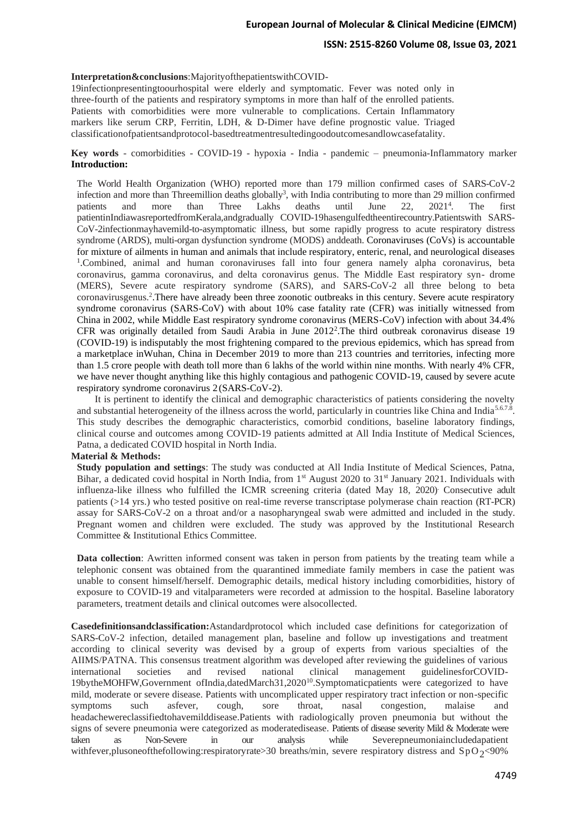### **Interpretation&conclusions**:MajorityofthepatientswithCOVID-

19infectionpresentingtoourhospital were elderly and symptomatic. Fever was noted only in three-fourth of the patients and respiratory symptoms in more than half of the enrolled patients. Patients with comorbidities were more vulnerable to complications. Certain Inflammatory markers like serum CRP, Ferritin, LDH, & D-Dimer have define prognostic value. Triaged classificationofpatientsandprotocol-basedtreatmentresultedingoodoutcomesandlowcasefatality.

### **Key words** - comorbidities - COVID-19 - hypoxia - India - pandemic – pneumonia-Inflammatory marker **Introduction:**

The World Health Organization (WHO) reported more than 179 million confirmed cases of SARS-CoV-2 infection and more than Threemillion deaths globally<sup>3</sup>, with India contributing to more than 29 million confirmed patients and more than Three Lakhs deaths until June 22, 2021<sup>4</sup>  $2021<sup>4</sup>$ . The first patientinIndiawasreportedfromKerala,andgradually COVID-19hasengulfedtheentirecountry.Patientswith SARS-CoV-2infectionmayhavemild-to-asymptomatic illness, but some rapidly progress to acute respiratory distress syndrome (ARDS), multi-organ dysfunction syndrome (MODS) and death. Coronaviruses (CoVs) is accountable for mixture of ailments in human and animals that include respiratory, enteric, renal, and neurological diseases 1 .Combined, animal and human coronaviruses fall into four genera namely alpha coronavirus, beta coronavirus, gamma coronavirus, and delta coronavirus genus. The Middle East respiratory syn- drome (MERS), Severe acute respiratory syndrome (SARS), and SARS-CoV-2 all three belong to beta coronavirusgenus.<sup>2</sup> .There have already been three zoonotic outbreaks in this century. Severe acute respiratory syndrome coronavirus (SARS-CoV) with about 10% case fatality rate (CFR) was initially witnessed from China in 2002, while Middle East respiratory syndrome coronavirus (MERS-CoV) infection with about 34.4% CFR was originally detailed from Saudi Arabia in June 2012<sup>2</sup>. The third outbreak coronavirus disease 19 (COVID-19) is indisputably the most frightening compared to the previous epidemics, which has spread from a marketplace inWuhan, China in December 2019 to more than 213 countries and territories, infecting more than 1.5 crore people with death toll more than 6 lakhs of the world within nine months. With nearly 4% CFR, we have never thought anything like this highly contagious and pathogenic COVID-19, caused by severe acute respiratory syndrome coronavirus 2 (SARS-CoV-2).

It is pertinent to identify the clinical and demographic characteristics of patients considering the novelty and substantial heterogeneity of the illness across the world, particularly in countries like China and India<sup>5.67.8</sup>. This study describes the demographic characteristics, comorbid conditions, baseline laboratory findings, clinical course and outcomes among COVID-19 patients admitted at All India Institute of Medical Sciences, Patna, a dedicated COVID hospital in North India.

#### **Material & Methods:**

**Study population and settings**: The study was conducted at All India Institute of Medical Sciences, Patna, Bihar, a dedicated covid hospital in North India, from  $1<sup>st</sup>$  August 2020 to  $31<sup>st</sup>$  January 2021. Individuals with influenza-like illness who fulfilled the ICMR screening criteria (dated May 18, 2020). Consecutive adult patients (>14 yrs.) who tested positive on real-time reverse transcriptase polymerase chain reaction (RT-PCR) assay for SARS-CoV-2 on a throat and/or a nasopharyngeal swab were admitted and included in the study. Pregnant women and children were excluded. The study was approved by the Institutional Research Committee & Institutional Ethics Committee.

**Data collection**: Awritten informed consent was taken in person from patients by the treating team while a telephonic consent was obtained from the quarantined immediate family members in case the patient was unable to consent himself/herself. Demographic details, medical history including comorbidities, history of exposure to COVID-19 and vitalparameters were recorded at admission to the hospital. Baseline laboratory parameters, treatment details and clinical outcomes were alsocollected.

**Casedefinitionsandclassification:**Astandardprotocol which included case definitions for categorization of SARS-CoV-2 infection, detailed management plan, baseline and follow up investigations and treatment according to clinical severity was devised by a group of experts from various specialties of the AIIMS/PATNA. This consensus treatment algorithm was developed after reviewing the guidelines of various international societies and revised national clinical management guidelinesforCOVID-19bytheMOHFW,Government ofIndia,datedMarch31,2020<sup>10</sup>.Symptomaticpatients were categorized to have mild, moderate or severe disease. Patients with uncomplicated upper respiratory tract infection or non-specific symptoms such asfever, cough, sore throat, nasal congestion, malaise and headachewereclassifiedtohavemilddisease.Patients with radiologically proven pneumonia but without the signs of severe pneumonia were categorized as moderatedisease. Patients of disease severity Mild & Moderate were taken as Non-Severe in our analysis while Severepneumoniaincludedapatient withfever, plusoneof the following: respiratory rate > 30 breaths/min, severe respiratory distress and SpO2<90%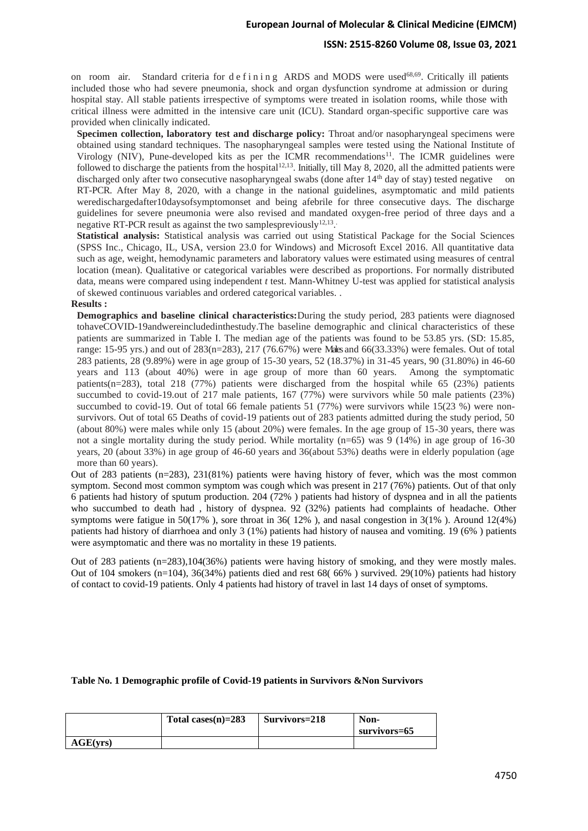### **ISSN: 2515-8260 Volume 08, Issue 03, 2021**

on room air. Standard criteria for d e f i n i n g ARDS and MODS were used<sup>68,69</sup>. Critically ill patients included those who had severe pneumonia, shock and organ dysfunction syndrome at admission or during hospital stay. All stable patients irrespective of symptoms were treated in isolation rooms, while those with critical illness were admitted in the intensive care unit (ICU). Standard organ-specific supportive care was provided when clinically indicated.

**Specimen collection, laboratory test and discharge policy:** Throat and/or nasopharyngeal specimens were obtained using standard techniques. The nasopharyngeal samples were tested using the National Institute of Virology (NIV), Pune-developed kits as per the ICMR recommendations<sup>11</sup>. The ICMR guidelines were followed to discharge the patients from the hospital $1^{2,13}$ . Initially, till May 8, 2020, all the admitted patients were discharged only after two consecutive nasopharyngeal swabs (done after 14<sup>th</sup> day of stay) tested negative on RT-PCR. After May 8, 2020, with a change in the national guidelines, asymptomatic and mild patients weredischargedafter10daysofsymptomonset and being afebrile for three consecutive days. The discharge guidelines for severe pneumonia were also revised and mandated oxygen-free period of three days and a negative RT-PCR result as against the two samplespreviously $^{12,13}$ .

**Statistical analysis:** Statistical analysis was carried out using Statistical Package for the Social Sciences (SPSS Inc., Chicago, IL, USA, version 23.0 for Windows) and Microsoft Excel 2016. All quantitative data such as age, weight, hemodynamic parameters and laboratory values were estimated using measures of central location (mean). Qualitative or categorical variables were described as proportions. For normally distributed data, means were compared using independent *t* test. Mann-Whitney U-test was applied for statistical analysis of skewed continuous variables and ordered categorical variables. .

#### **Results :**

**Demographics and baseline clinical characteristics:**During the study period, 283 patients were diagnosed tohaveCOVID-19andwereincludedinthestudy.The baseline demographic and clinical characteristics of these patients are summarized in Table I. The median age of the patients was found to be 53.85 yrs. (SD: 15.85, range: 15-95 yrs.) and out of  $283(n=283)$ ,  $217(76.67%)$  were Males and  $66(33.33%)$  were females. Out of total 283 patients, 28 (9.89%) were in age group of 15-30 years, 52 (18.37%) in 31-45 years, 90 (31.80%) in 46-60 years and 113 (about 40%) were in age group of more than 60 years. Among the symptomatic patients(n=283), total 218 (77%) patients were discharged from the hospital while 65 (23%) patients succumbed to covid-19.out of 217 male patients, 167 (77%) were survivors while 50 male patients (23%) succumbed to covid-19. Out of total 66 female patients 51 (77%) were survivors while 15(23 %) were nonsurvivors. Out of total 65 Deaths of covid-19 patients out of 283 patients admitted during the study period, 50 (about 80%) were males while only 15 (about 20%) were females. In the age group of 15-30 years, there was not a single mortality during the study period. While mortality (n=65) was 9 (14%) in age group of 16-30 years, 20 (about 33%) in age group of 46-60 years and 36(about 53%) deaths were in elderly population (age more than 60 years).

Out of 283 patients (n=283), 231(81%) patients were having history of fever, which was the most common symptom. Second most common symptom was cough which was present in 217 (76%) patients. Out of that only 6 patients had history of sputum production. 204 (72% ) patients had history of dyspnea and in all the patients who succumbed to death had, history of dyspnea. 92 (32%) patients had complaints of headache. Other symptoms were fatigue in 50(17% ), sore throat in 36( 12% ), and nasal congestion in 3(1% ). Around 12(4%) patients had history of diarrhoea and only 3 (1%) patients had history of nausea and vomiting. 19 (6% ) patients were asymptomatic and there was no mortality in these 19 patients.

Out of 283 patients (n=283),104(36%) patients were having history of smoking, and they were mostly males. Out of 104 smokers (n=104), 36(34%) patients died and rest 68( 66% ) survived. 29(10%) patients had history of contact to covid-19 patients. Only 4 patients had history of travel in last 14 days of onset of symptoms.

#### **Table No. 1 Demographic profile of Covid-19 patients in Survivors &Non Survivors**

|          | Total cases $(n)=283$ | Survivors=218 | Non-<br>survivors=65 |
|----------|-----------------------|---------------|----------------------|
| AGE(vrs) |                       |               |                      |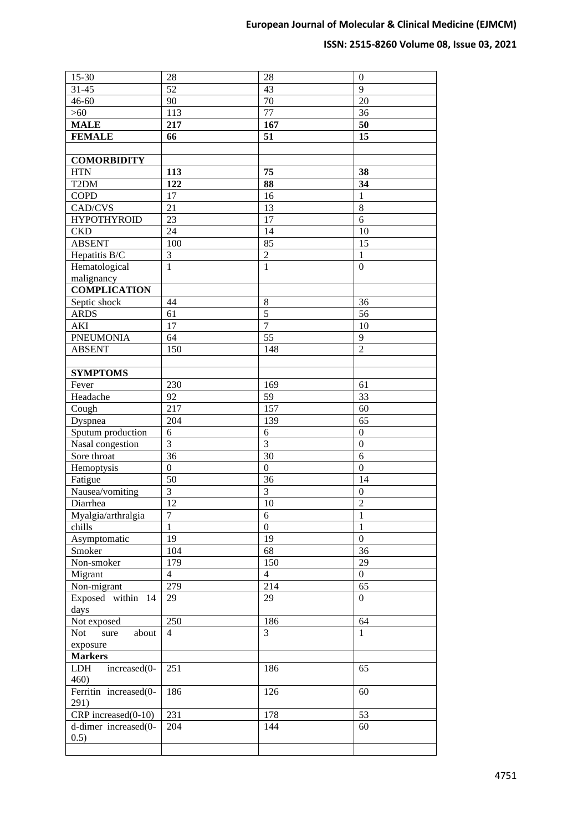# **ISSN: 2515-8260 Volume 08, Issue 03, 2021**

| $15 - 30$             | 28               | 28               | $\boldsymbol{0}$ |
|-----------------------|------------------|------------------|------------------|
| $31 - 45$             | 52               | 43               | 9                |
| $46 - 60$             | 90               | 70               | 20               |
| $>60$                 | 113              | 77               | $\overline{36}$  |
| <b>MALE</b>           | 217              | 167              | $\overline{50}$  |
| <b>FEMALE</b>         | 66               | 51               | 15               |
|                       |                  |                  |                  |
| <b>COMORBIDITY</b>    |                  |                  |                  |
| <b>HTN</b>            | 113              | 75               | 38               |
| T <sub>2</sub> DM     | 122              | 88               | 34               |
| <b>COPD</b>           | 17               | 16               | 1                |
| CAD/CVS               | 21               | 13               | 8                |
| <b>HYPOTHYROID</b>    | 23               | 17               | 6                |
| <b>CKD</b>            | 24               | 14               | 10               |
| <b>ABSENT</b>         | 100              | 85               | 15               |
| Hepatitis B/C         | 3                | $\overline{2}$   | 1                |
| Hematological         | $\mathbf{1}$     | $\mathbf{1}$     | $\overline{0}$   |
| malignancy            |                  |                  |                  |
| <b>COMPLICATION</b>   |                  |                  |                  |
| Septic shock          | 44               | $\,8\,$          | 36               |
| <b>ARDS</b>           | 61               | $\overline{5}$   | 56               |
| <b>AKI</b>            | 17               | $\overline{7}$   | 10               |
| <b>PNEUMONIA</b>      | 64               | $\overline{55}$  | 9                |
| <b>ABSENT</b>         | 150              | 148              | $\overline{2}$   |
|                       |                  |                  |                  |
| <b>SYMPTOMS</b>       |                  |                  |                  |
| Fever                 | 230              | 169              | 61               |
| Headache              | 92               | 59               | 33               |
| Cough                 | 217              | 157              | 60               |
| Dyspnea               | 204              | 139              | 65               |
| Sputum production     | 6                | 6                | $\boldsymbol{0}$ |
| Nasal congestion      | 3                | 3                | $\boldsymbol{0}$ |
| Sore throat           | 36               | 30               | 6                |
| Hemoptysis            | $\boldsymbol{0}$ | $\boldsymbol{0}$ | $\boldsymbol{0}$ |
| Fatigue               | 50               | 36               | 14               |
| Nausea/vomiting       | $\mathfrak{Z}$   | $\mathfrak{Z}$   | $\boldsymbol{0}$ |
| Diarrhea              | 12               | 10               | $\overline{c}$   |
| Myalgia/arthralgia    | 7                | 6                | $\mathbf{1}$     |
| chills                | 1                | $\theta$         | $\mathbf{1}$     |
| Asymptomatic          | 19               | 19               | $\boldsymbol{0}$ |
| Smoker                | 104              | 68               | 36               |
| Non-smoker            | 179              | 150              | 29               |
| Migrant               | $\overline{4}$   | $\overline{4}$   | $\boldsymbol{0}$ |
| Non-migrant           | 279              | 214              | 65               |
| Exposed within 14     | 29               | 29               | $\overline{0}$   |
| days                  |                  |                  |                  |
| Not exposed           | 250              | 186              | 64               |
| Not<br>about<br>sure  | $\overline{4}$   | $\overline{3}$   | $\mathbf{1}$     |
| exposure              |                  |                  |                  |
| <b>Markers</b>        |                  |                  |                  |
| increased(0-<br>LDH   | 251              | 186              | 65               |
| 460)                  |                  |                  |                  |
| Ferritin increased(0- | 186              | 126              | 60               |
| 291)                  |                  |                  |                  |
| CRP increased(0-10)   | 231              | 178              | 53               |
| d-dimer increased(0-  | 204              | 144              | 60               |
| 0.5)                  |                  |                  |                  |
|                       |                  |                  |                  |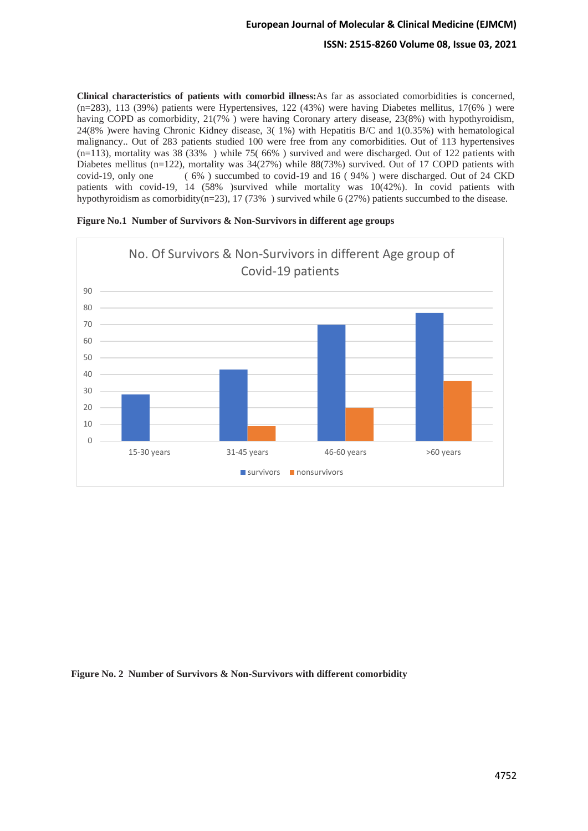**Clinical characteristics of patients with comorbid illness:**As far as associated comorbidities is concerned, (n=283), 113 (39%) patients were Hypertensives, 122 (43%) were having Diabetes mellitus, 17(6% ) were having COPD as comorbidity, 21(7%) were having Coronary artery disease, 23(8%) with hypothyroidism, 24(8% )were having Chronic Kidney disease, 3( 1%) with Hepatitis B/C and 1(0.35%) with hematological malignancy.. Out of 283 patients studied 100 were free from any comorbidities. Out of 113 hypertensives (n=113), mortality was 38 (33% ) while 75( 66% ) survived and were discharged. Out of 122 patients with Diabetes mellitus (n=122), mortality was 34(27%) while 88(73%) survived. Out of 17 COPD patients with covid-19, only one ( 6% ) succumbed to covid-19 and 16 ( 94% ) were discharged. Out of 24 CKD patients with covid-19, 14 (58% )survived while mortality was 10(42%). In covid patients with hypothyroidism as comorbidity(n=23), 17 (73%) survived while 6 (27%) patients succumbed to the disease.

|          | No. Of Survivors & Non-Survivors in different Age group of<br>Covid-19 patients |                        |             |           |  |  |  |  |  |  |
|----------|---------------------------------------------------------------------------------|------------------------|-------------|-----------|--|--|--|--|--|--|
| 90       |                                                                                 |                        |             |           |  |  |  |  |  |  |
| 80       |                                                                                 |                        |             |           |  |  |  |  |  |  |
| 70       |                                                                                 |                        |             |           |  |  |  |  |  |  |
| 60       |                                                                                 |                        |             |           |  |  |  |  |  |  |
| 50       |                                                                                 |                        |             |           |  |  |  |  |  |  |
| 40       |                                                                                 |                        |             |           |  |  |  |  |  |  |
| 30       |                                                                                 |                        |             |           |  |  |  |  |  |  |
| 20       |                                                                                 |                        |             |           |  |  |  |  |  |  |
| 10       |                                                                                 |                        |             |           |  |  |  |  |  |  |
| $\Omega$ |                                                                                 |                        |             |           |  |  |  |  |  |  |
|          | 15-30 years                                                                     | 31-45 years            | 46-60 years | >60 years |  |  |  |  |  |  |
|          |                                                                                 | survivors nonsurvivors |             |           |  |  |  |  |  |  |

| Figure No.1 Number of Survivors & Non-Survivors in different age groups |  |  |  |  |
|-------------------------------------------------------------------------|--|--|--|--|
|                                                                         |  |  |  |  |
|                                                                         |  |  |  |  |
|                                                                         |  |  |  |  |

### **Figure No. 2 Number of Survivors & Non-Survivors with different comorbidity**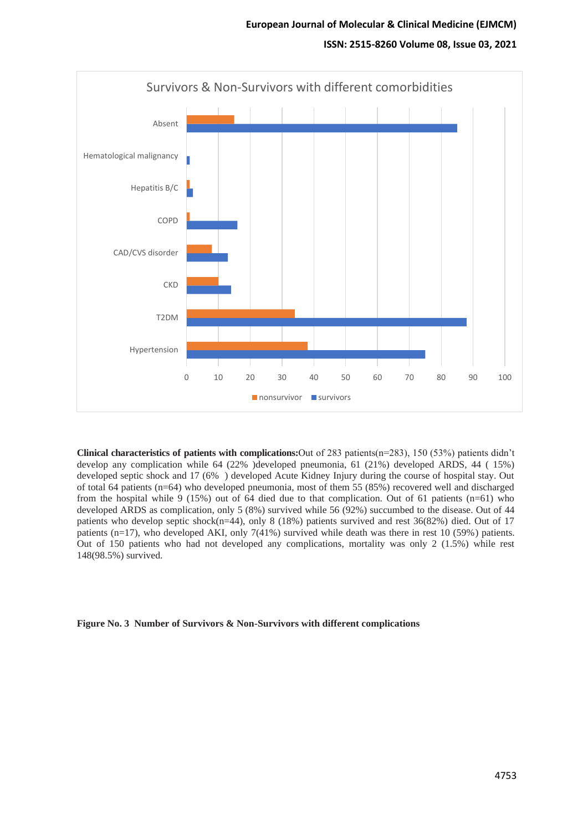

**Clinical characteristics of patients with complications:**Out of 283 patients(n=283), 150 (53%) patients didn't develop any complication while 64 (22% )developed pneumonia, 61 (21%) developed ARDS, 44 ( 15%) developed septic shock and 17 (6% ) developed Acute Kidney Injury during the course of hospital stay. Out of total 64 patients (n=64) who developed pneumonia, most of them 55 (85%) recovered well and discharged from the hospital while 9 (15%) out of 64 died due to that complication. Out of 61 patients (n=61) who developed ARDS as complication, only 5 (8%) survived while 56 (92%) succumbed to the disease. Out of 44 patients who develop septic shock(n=44), only 8 (18%) patients survived and rest 36(82%) died. Out of 17 patients (n=17), who developed AKI, only 7(41%) survived while death was there in rest 10 (59%) patients. Out of 150 patients who had not developed any complications, mortality was only 2 (1.5%) while rest 148(98.5%) survived.

**Figure No. 3 Number of Survivors & Non-Survivors with different complications**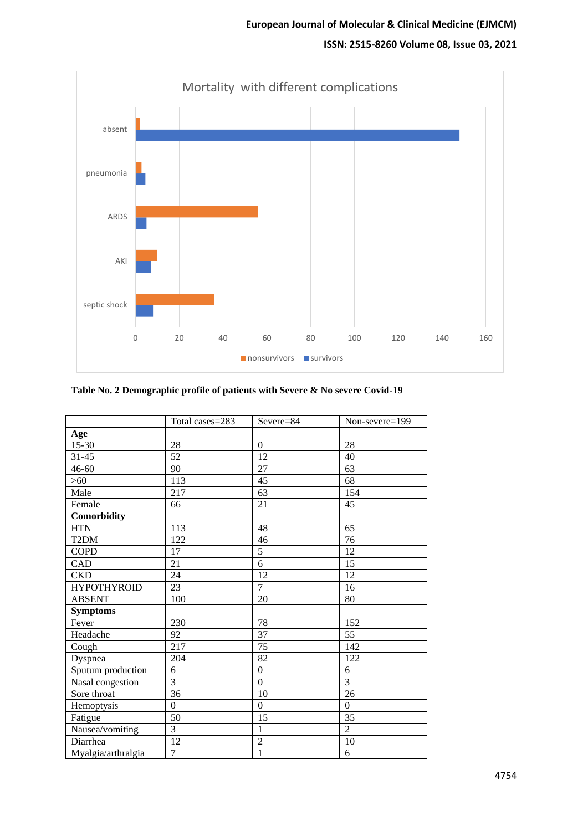# **ISSN: 2515-8260 Volume 08, Issue 03, 2021**



|                    | Total cases=283  | Severe=84        | Non-severe=199 |
|--------------------|------------------|------------------|----------------|
| Age                |                  |                  |                |
| $15 - 30$          | 28               | $\boldsymbol{0}$ | 28             |
| $31 - 45$          | 52               | 12               | 40             |
| $46 - 60$          | 90               | 27               | 63             |
| $>60$              | 113              | 45               | 68             |
| Male               | 217              | 63               | 154            |
| Female             | 66               | 21               | 45             |
| Comorbidity        |                  |                  |                |
| <b>HTN</b>         | 113              | 48               | 65             |
| T <sub>2</sub> DM  | 122              | 46               | 76             |
| <b>COPD</b>        | 17               | $\overline{5}$   | 12             |
| CAD                | 21               | 6                | 15             |
| <b>CKD</b>         | 24               | $\overline{12}$  | 12             |
| <b>HYPOTHYROID</b> | 23               | $\overline{7}$   | 16             |
| <b>ABSENT</b>      | 100              | 20               | 80             |
| <b>Symptoms</b>    |                  |                  |                |
| Fever              | 230              | 78               | 152            |
| Headache           | 92               | 37               | 55             |
| Cough              | 217              | 75               | 142            |
| Dyspnea            | 204              | $\overline{82}$  | 122            |
| Sputum production  | 6                | $\mathbf{0}$     | 6              |
| Nasal congestion   | $\overline{3}$   | $\overline{0}$   | $\overline{3}$ |
| Sore throat        | 36               | 10               | 26             |
| Hemoptysis         | $\boldsymbol{0}$ | $\boldsymbol{0}$ | $\mathbf{0}$   |
| Fatigue            | 50               | 15               | 35             |
| Nausea/vomiting    | $\overline{3}$   | $\mathbf{1}$     | $\overline{2}$ |
| Diarrhea           | 12               | $\overline{2}$   | $10\,$         |
| Myalgia/arthralgia | $\overline{7}$   | $\,1\,$          | 6              |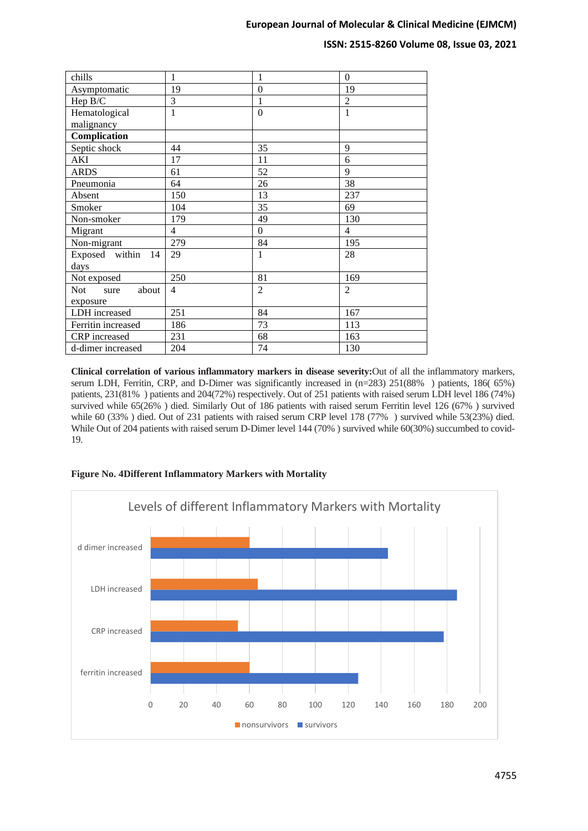### **ISSN: 2515-8260 Volume 08, Issue 03, 2021**

| chills                | 1              | 1              | $\theta$       |
|-----------------------|----------------|----------------|----------------|
| Asymptomatic          | 19             | $\theta$       | 19             |
| Hep B/C               | $\overline{3}$ | $\mathbf{1}$   | $\overline{2}$ |
| Hematological         | $\overline{1}$ | $\overline{0}$ | $\mathbf{1}$   |
| malignancy            |                |                |                |
| Complication          |                |                |                |
| Septic shock          | 44             | 35             | 9              |
| <b>AKI</b>            | 17             | 11             | 6              |
| <b>ARDS</b>           | 61             | 52             | 9              |
| Pneumonia             | 64             | 26             | 38             |
| Absent                | 150            | 13             | 237            |
| Smoker                | 104            | 35             | 69             |
| Non-smoker            | 179            | 49             | 130            |
| Migrant               | $\overline{4}$ | $\Omega$       | $\overline{4}$ |
| Non-migrant           | 279            | 84             | 195            |
| Exposed within<br>-14 | 29             | 1              | 28             |
| days                  |                |                |                |
| Not exposed           | 250            | 81             | 169            |
| Not<br>about<br>sure  | $\overline{4}$ | $\overline{2}$ | $\overline{2}$ |
| exposure              |                |                |                |
| LDH increased         | 251            | 84             | 167            |
| Ferritin increased    | 186            | 73             | 113            |
| CRP increased         | 231            | 68             | 163            |
| d-dimer increased     | 204            | 74             | 130            |

**Clinical correlation of various inflammatory markers in disease severity:**Out of all the inflammatory markers, serum LDH, Ferritin, CRP, and D-Dimer was significantly increased in (n=283) 251(88%) patients, 186( 65%) patients, 231(81% ) patients and 204(72%) respectively. Out of 251 patients with raised serum LDH level 186 (74%) survived while 65(26% ) died. Similarly Out of 186 patients with raised serum Ferritin level 126 (67% ) survived while 60 (33% ) died. Out of 231 patients with raised serum CRP level 178 (77% ) survived while 53(23%) died. While Out of 204 patients with raised serum D-Dimer level 144 (70%) survived while 60(30%) succumbed to covid-19.



### **Figure No. 4Different Inflammatory Markers with Mortality**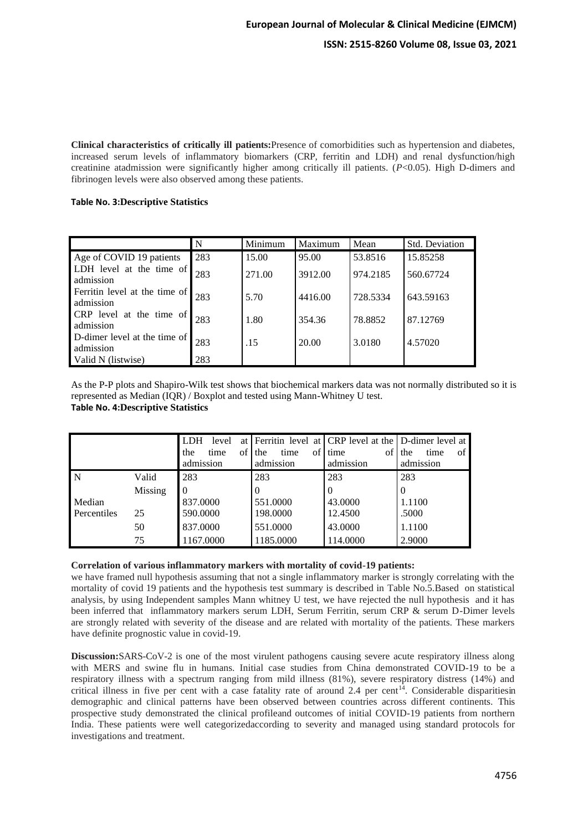**Clinical characteristics of critically ill patients:**Presence of comorbidities such as hypertension and diabetes, increased serum levels of inflammatory biomarkers (CRP, ferritin and LDH) and renal dysfunction/high creatinine atadmission were significantly higher among critically ill patients. (*P*<0.05). High D-dimers and fibrinogen levels were also observed among these patients.

### **Table No. 3:Descriptive Statistics**

|                                            | N   | Minimum | Maximum | Mean     | <b>Std. Deviation</b> |
|--------------------------------------------|-----|---------|---------|----------|-----------------------|
| Age of COVID 19 patients                   | 283 | 15.00   | 95.00   | 53.8516  | 15.85258              |
| LDH level at the time of<br>admission      | 283 | 271.00  | 3912.00 | 974.2185 | 560.67724             |
| Ferritin level at the time of<br>admission | 283 | 5.70    | 4416.00 | 728.5334 | 643.59163             |
| CRP level at the time of<br>admission      | 283 | 1.80    | 354.36  | 78.8852  | 87.12769              |
| D-dimer level at the time of<br>admission  | 283 | .15     | 20.00   | 3.0180   | 4.57020               |
| Valid N (listwise)                         | 283 |         |         |          |                       |

As the P-P plots and Shapiro-Wilk test shows that biochemical markers data was not normally distributed so it is represented as Median (IQR) / Boxplot and tested using Mann-Whitney U test. **Table No. 4:Descriptive Statistics**

|             |         | <b>LDH</b><br>the<br>admission | level<br>time | at<br>of | the<br>admission | time | of | Ferritin level at CRP level at the D-dimer level at<br>of<br>time<br>admission | the<br>admission | time | of |
|-------------|---------|--------------------------------|---------------|----------|------------------|------|----|--------------------------------------------------------------------------------|------------------|------|----|
| N           | Valid   | 283                            |               |          | 283              |      |    | 283                                                                            | 283              |      |    |
|             | Missing |                                |               |          | 0                |      |    | 0                                                                              | 0                |      |    |
| Median      |         | 837.0000                       |               |          | 551.0000         |      |    | 43.0000                                                                        | 1.1100           |      |    |
| Percentiles | 25      | 590,0000                       |               |          | 198.0000         |      |    | 12.4500                                                                        | .5000            |      |    |
|             | 50      | 837.0000                       |               |          | 551.0000         |      |    | 43.0000                                                                        | 1.1100           |      |    |
|             | 75      | 1167.0000                      |               |          | 1185.0000        |      |    | 114.0000                                                                       | 2.9000           |      |    |

#### **Correlation of various inflammatory markers with mortality of covid-19 patients:**

we have framed null hypothesis assuming that not a single inflammatory marker is strongly correlating with the mortality of covid 19 patients and the hypothesis test summary is described in Table No.5.Based on statistical analysis, by using Independent samples Mann whitney U test, we have rejected the null hypothesis and it has been inferred that inflammatory markers serum LDH, Serum Ferritin, serum CRP & serum D-Dimer levels are strongly related with severity of the disease and are related with mortality of the patients. These markers have definite prognostic value in covid-19.

**Discussion:**SARS-CoV-2 is one of the most virulent pathogens causing severe acute respiratory illness along with MERS and swine flu in humans. Initial case studies from China demonstrated COVID-19 to be a respiratory illness with a spectrum ranging from mild illness (81%), severe respiratory distress (14%) and critical illness in five per cent with a case fatality rate of around 2.4 per cent<sup>14</sup>. Considerable disparitiesin demographic and clinical patterns have been observed between countries across different continents. This prospective study demonstrated the clinical profileand outcomes of initial COVID-19 patients from northern India. These patients were well categorizedaccording to severity and managed using standard protocols for investigations and treatment.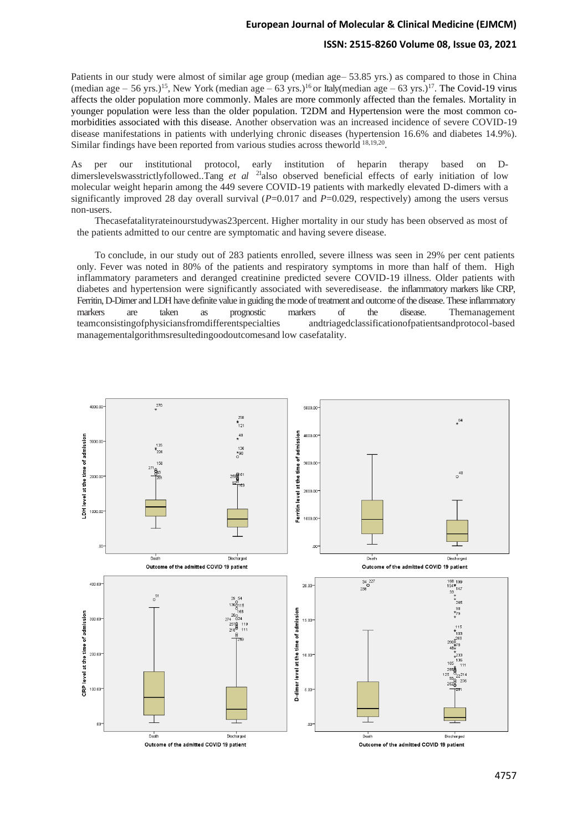### **ISSN: 2515-8260 Volume 08, Issue 03, 2021**

Patients in our study were almost of similar age group (median age– 53.85 yrs.) as compared to those in China (median age – 56 yrs.)<sup>15</sup>, New York (median age – 63 yrs.)<sup>16</sup> or Italy(median age – 63 yrs.)<sup>17</sup>. The Covid-19 virus affects the older population more commonly. Males are more commonly affected than the females. Mortality in younger population were less than the older population. T2DM and Hypertension were the most common comorbidities associated with this disease. Another observation was an increased incidence of severe COVID-19 disease manifestations in patients with underlying chronic diseases (hypertension 16.6% and diabetes 14.9%). Similar findings have been reported from various studies across theworld <sup>18,19,20</sup>.

As per our institutional protocol, early institution of heparin therapy based on Ddimerslevelswasstrictlyfollowed..Tang *et al*<sup>21</sup>also observed beneficial effects of early initiation of low molecular weight heparin among the 449 severe COVID-19 patients with markedly elevated D-dimers with a significantly improved 28 day overall survival (*P*=0.017 and *P*=0.029, respectively) among the users versus non-users.

Thecasefatalityrateinourstudywas23percent. Higher mortality in our study has been observed as most of the patients admitted to our centre are symptomatic and having severe disease.

To conclude, in our study out of 283 patients enrolled, severe illness was seen in 29% per cent patients only. Fever was noted in 80% of the patients and respiratory symptoms in more than half of them. High inflammatory parameters and deranged creatinine predicted severe COVID-19 illness. Older patients with diabetes and hypertension were significantly associated with severedisease. the inflammatory markers like CRP, Ferritin, D-Dimer and LDH have definite value in guiding the mode of treatment and outcome of the disease. These inflammatory markers are taken as prognostic markers of the disease. Themanagement teamconsistingofphysiciansfromdifferentspecialties andtriagedclassificationofpatientsandprotocol-based managementalgorithmsresultedingoodoutcomesand low casefatality.

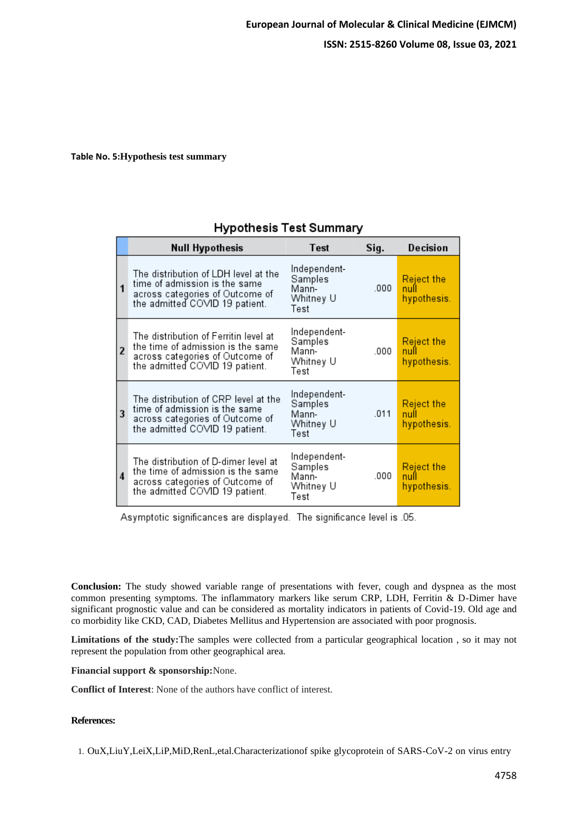# **Table No. 5:Hypothesis test summary**

|                         | <b>Null Hypothesis</b>                                                                                                                          | Test                                                  | Sig. | Decision                                 |
|-------------------------|-------------------------------------------------------------------------------------------------------------------------------------------------|-------------------------------------------------------|------|------------------------------------------|
| 1                       | The distribution of LDH level at the<br>time of admission is the same<br>across categories of Outcome of<br>the admitted COVID 19 patient.      | Independent-<br>Samples<br>Mann-<br>Whitney U<br>Test | .000 | <b>Reject the</b><br>null<br>hypothesis. |
| $\overline{2}$          | The distribution of Ferritin level at<br>the time of admission is the same<br>across categories of Outcome of<br>the admitted COVID 19 patient. | Independent-<br>Samples<br>Mann-<br>Whitney U<br>Test | .000 | Reject the<br>null<br>hypothesis.        |
| $\overline{\mathbf{3}}$ | The distribution of CRP level at the<br>time of admission is the same<br>across categories of Outcome of<br>the admitted COVID 19 patient.      | Independent-<br>Samples<br>Mann-<br>Whitney U<br>Test | .011 | <b>Reject the</b><br>null<br>hypothesis. |
| $\overline{4}$          | The distribution of D-dimer level at<br>the time of admission is the same<br>across categories of Outcome of<br>the admitted COVID 19 patient.  | Independent-<br>Samples<br>Mann-<br>Whitney U<br>Test | .000 | <b>Reject the</b><br>null<br>hypothesis. |

# **Hypothesis Test Summary**

Asymptotic significances are displayed. The significance level is .05.

**Conclusion:** The study showed variable range of presentations with fever, cough and dyspnea as the most common presenting symptoms. The inflammatory markers like serum CRP, LDH, Ferritin & D-Dimer have significant prognostic value and can be considered as mortality indicators in patients of Covid-19. Old age and co morbidity like CKD, CAD, Diabetes Mellitus and Hypertension are associated with poor prognosis.

**Limitations of the study:**The samples were collected from a particular geographical location , so it may not represent the population from other geographical area.

**Financial support & sponsorship:**None.

**Conflict of Interest**: None of the authors have conflict of interest.

### **References:**

1. OuX,LiuY,LeiX,LiP,MiD,RenL,etal.Characterizationof spike glycoprotein of SARS-CoV-2 on virus entry